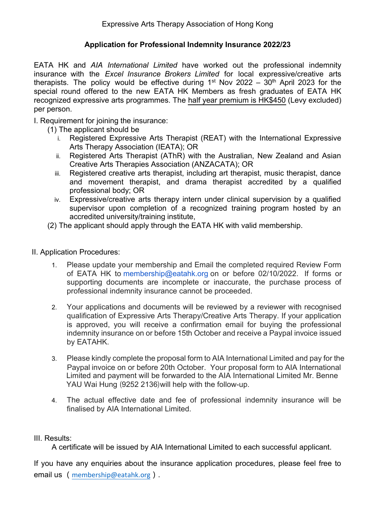# **Application for Professional Indemnity Insurance 2022/23**

EATA HK and *AIA International Limited* have worked out the professional indemnity insurance with the *Excel Insurance Brokers Limited* for local expressive/creative arts therapists. The policy would be effective during  $1<sup>st</sup>$  Nov 2022 – 30<sup>th</sup> April 2023 for the special round offered to the new EATA HK Members as fresh graduates of EATA HK recognized expressive arts programmes. The half year premium is HK\$450 (Levy excluded) per person.

## I. Requirement for joining the insurance:

- (1) The applicant should be
	- i. Registered Expressive Arts Therapist (REAT) with the International Expressive Arts Therapy Association (IEATA); OR
	- ii. Registered Arts Therapist (AThR) with the Australian, New Zealand and Asian Creative Arts Therapies Association (ANZACATA); OR
	- iii. Registered creative arts therapist, including art therapist, music therapist, dance and movement therapist, and drama therapist accredited by a qualified professional body; OR
	- iv. Expressive/creative arts therapy intern under clinical supervision by a qualified supervisor upon completion of a recognized training program hosted by an accredited university/training institute,
- (2) The applicant should apply through the EATA HK with valid membership.
- II. Application Procedures:
	- 1. Please update your membership and Email the completed required Review Form of EATA HK to membership@eatahk.org on or before 02/10/2022. If forms or supporting documents are incomplete or inaccurate, the purchase process of professional indemnity insurance cannot be proceeded.
	- 2. Your applications and documents will be reviewed by a reviewer with recognised qualification of Expressive Arts Therapy/Creative Arts Therapy. If your application is approved, you will receive a confirmation email for buying the professional indemnity insurance on or before 15th October and receive a Paypal invoice issued by EATAHK.
	- 3. Please kindly complete the proposal form to AIA International Limited and pay for the Paypal invoice on or before 20th October. Your proposal form to AIA International Limited and payment will be forwarded to the AIA International Limited Mr. Benne YAU Wai Hung (9252 2136)will help with the follow-up.
	- 4. The actual effective date and fee of professional indemnity insurance will be finalised by AIA International Limited.

### III. Results:

A certificate will be issued by AIA International Limited to each successful applicant.

If you have any enquiries about the insurance application procedures, please feel free to email us (membership@eatahk.org).